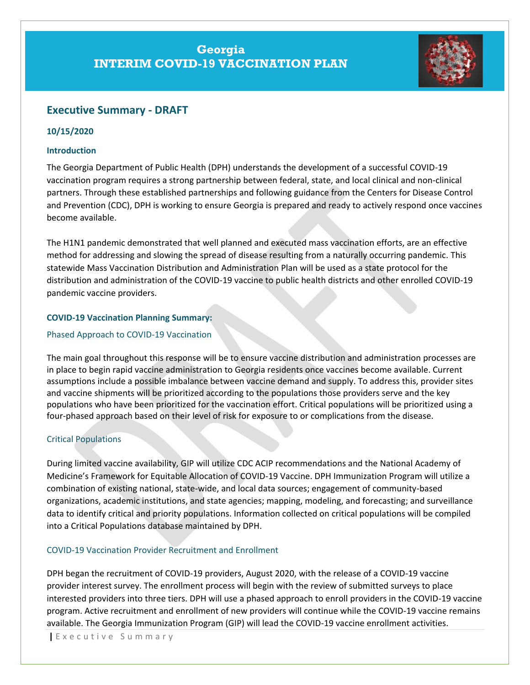# **Georgia INTERIM COVID-19 VACCINATION PLAN**



# **Executive Summary - DRAFT**

#### **10/15/2020**

#### **Introduction**

The Georgia Department of Public Health (DPH) understands the development of a successful COVID-19 vaccination program requires a strong partnership between federal, state, and local clinical and non-clinical partners. Through these established partnerships and following guidance from the Centers for Disease Control and Prevention (CDC), DPH is working to ensure Georgia is prepared and ready to actively respond once vaccines become available.

The H1N1 pandemic demonstrated that well planned and executed mass vaccination efforts, are an effective method for addressing and slowing the spread of disease resulting from a naturally occurring pandemic. This statewide Mass Vaccination Distribution and Administration Plan will be used as a state protocol for the distribution and administration of the COVID-19 vaccine to public health districts and other enrolled COVID-19 pandemic vaccine providers.

#### **COVID-19 Vaccination Planning Summary:**

#### Phased Approach to COVID-19 Vaccination

The main goal throughout this response will be to ensure vaccine distribution and administration processes are in place to begin rapid vaccine administration to Georgia residents once vaccines become available. Current assumptions include a possible imbalance between vaccine demand and supply. To address this, provider sites and vaccine shipments will be prioritized according to the populations those providers serve and the key populations who have been prioritized for the vaccination effort. Critical populations will be prioritized using a four-phased approach based on their level of risk for exposure to or complications from the disease.

## Critical Populations

During limited vaccine availability, GIP will utilize CDC ACIP recommendations and the National Academy of Medicine's Framework for Equitable Allocation of COVID-19 Vaccine. DPH Immunization Program will utilize a combination of existing national, state-wide, and local data sources; engagement of community-based organizations, academic institutions, and state agencies; mapping, modeling, and forecasting; and surveillance data to identify critical and priority populations. Information collected on critical populations will be compiled into a Critical Populations database maintained by DPH.

## COVID-19 Vaccination Provider Recruitment and Enrollment

DPH began the recruitment of COVID-19 providers, August 2020, with the release of a COVID-19 vaccine provider interest survey. The enrollment process will begin with the review of submitted surveys to place interested providers into three tiers. DPH will use a phased approach to enroll providers in the COVID-19 vaccine program. Active recruitment and enrollment of new providers will continue while the COVID-19 vaccine remains available. The Georgia Immunization Program (GIP) will lead the COVID-19 vaccine enrollment activities.

**|** E x e c u t i v e S u m m a r y